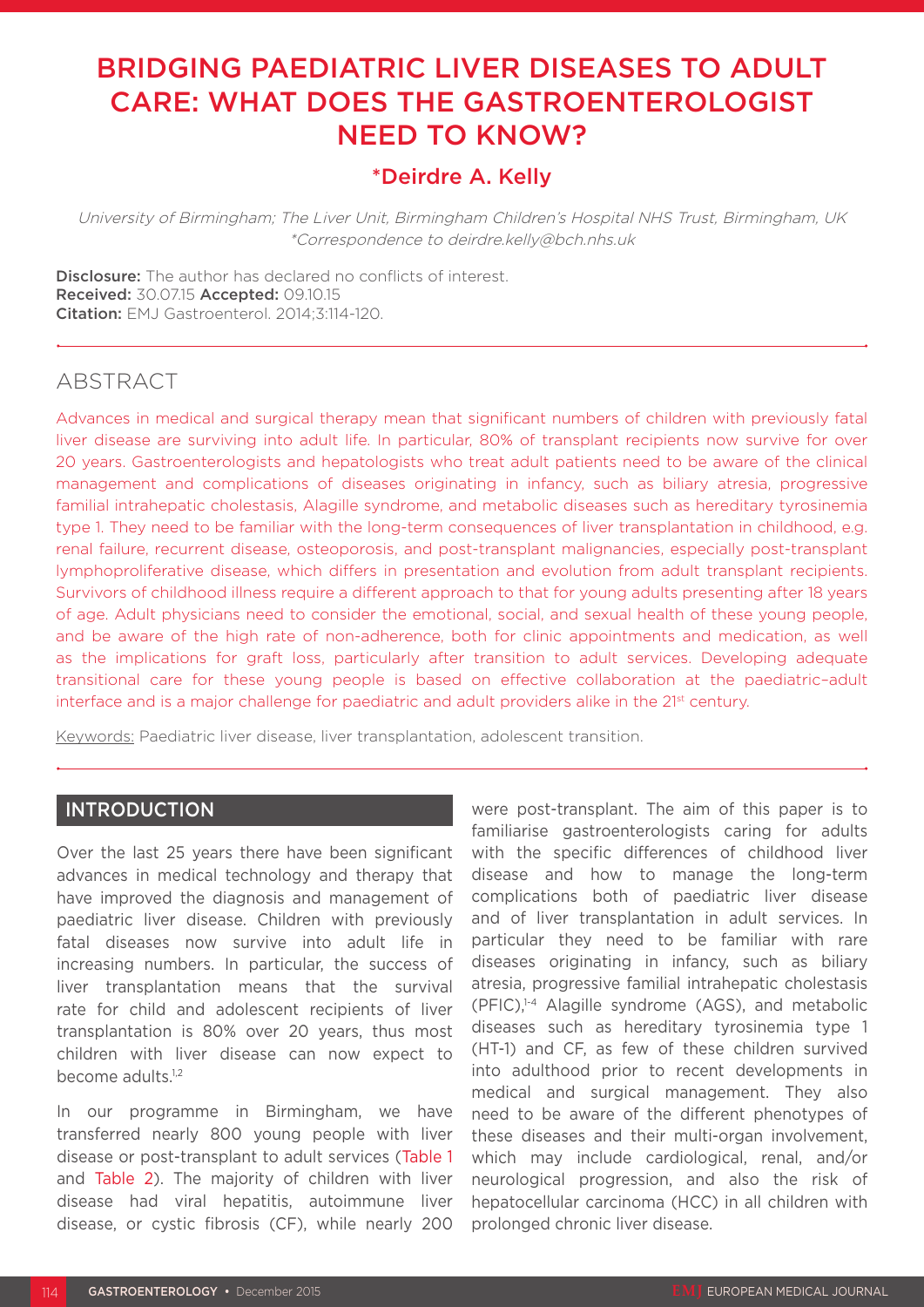# BRIDGING PAEDIATRIC LIVER DISEASES TO ADULT CARE: WHAT DOES THE GASTROENTEROLOGIST NEED TO KNOW?

# \*Deirdre A. Kelly

University of Birmingham; The Liver Unit, Birmingham Children's Hospital NHS Trust, Birmingham, UK \*Correspondence to deirdre.kelly@bch.nhs.uk

Disclosure: The author has declared no conflicts of interest. Received: 30.07.15 Accepted: 09.10.15 Citation: EMJ Gastroenterol. 2014;3:114-120.

# ABSTRACT

Advances in medical and surgical therapy mean that significant numbers of children with previously fatal liver disease are surviving into adult life. In particular, 80% of transplant recipients now survive for over 20 years. Gastroenterologists and hepatologists who treat adult patients need to be aware of the clinical management and complications of diseases originating in infancy, such as biliary atresia, progressive familial intrahepatic cholestasis, Alagille syndrome, and metabolic diseases such as hereditary tyrosinemia type 1. They need to be familiar with the long-term consequences of liver transplantation in childhood, e.g. renal failure, recurrent disease, osteoporosis, and post-transplant malignancies, especially post-transplant lymphoproliferative disease, which differs in presentation and evolution from adult transplant recipients. Survivors of childhood illness require a different approach to that for young adults presenting after 18 years of age. Adult physicians need to consider the emotional, social, and sexual health of these young people, and be aware of the high rate of non-adherence, both for clinic appointments and medication, as well as the implications for graft loss, particularly after transition to adult services. Developing adequate transitional care for these young people is based on effective collaboration at the paediatric–adult interface and is a major challenge for paediatric and adult providers alike in the 21<sup>st</sup> century.

Keywords: Paediatric liver disease, liver transplantation, adolescent transition.

# INTRODUCTION

Over the last 25 years there have been significant advances in medical technology and therapy that have improved the diagnosis and management of paediatric liver disease. Children with previously fatal diseases now survive into adult life in increasing numbers. In particular, the success of liver transplantation means that the survival rate for child and adolescent recipients of liver transplantation is 80% over 20 years, thus most children with liver disease can now expect to become adults.<sup>1,2</sup>

In our programme in Birmingham, we have transferred nearly 800 young people with liver disease or post-transplant to adult services (Table 1 and Table 2). The majority of children with liver disease had viral hepatitis, autoimmune liver disease, or cystic fibrosis (CF), while nearly 200 were post-transplant. The aim of this paper is to familiarise gastroenterologists caring for adults with the specific differences of childhood liver disease and how to manage the long-term complications both of paediatric liver disease and of liver transplantation in adult services. In particular they need to be familiar with rare diseases originating in infancy, such as biliary atresia, progressive familial intrahepatic cholestasis (PFIC),1-4 Alagille syndrome (AGS), and metabolic diseases such as hereditary tyrosinemia type 1 (HT-1) and CF, as few of these children survived into adulthood prior to recent developments in medical and surgical management. They also need to be aware of the different phenotypes of these diseases and their multi-organ involvement, which may include cardiological, renal, and/or neurological progression, and also the risk of hepatocellular carcinoma (HCC) in all children with prolonged chronic liver disease.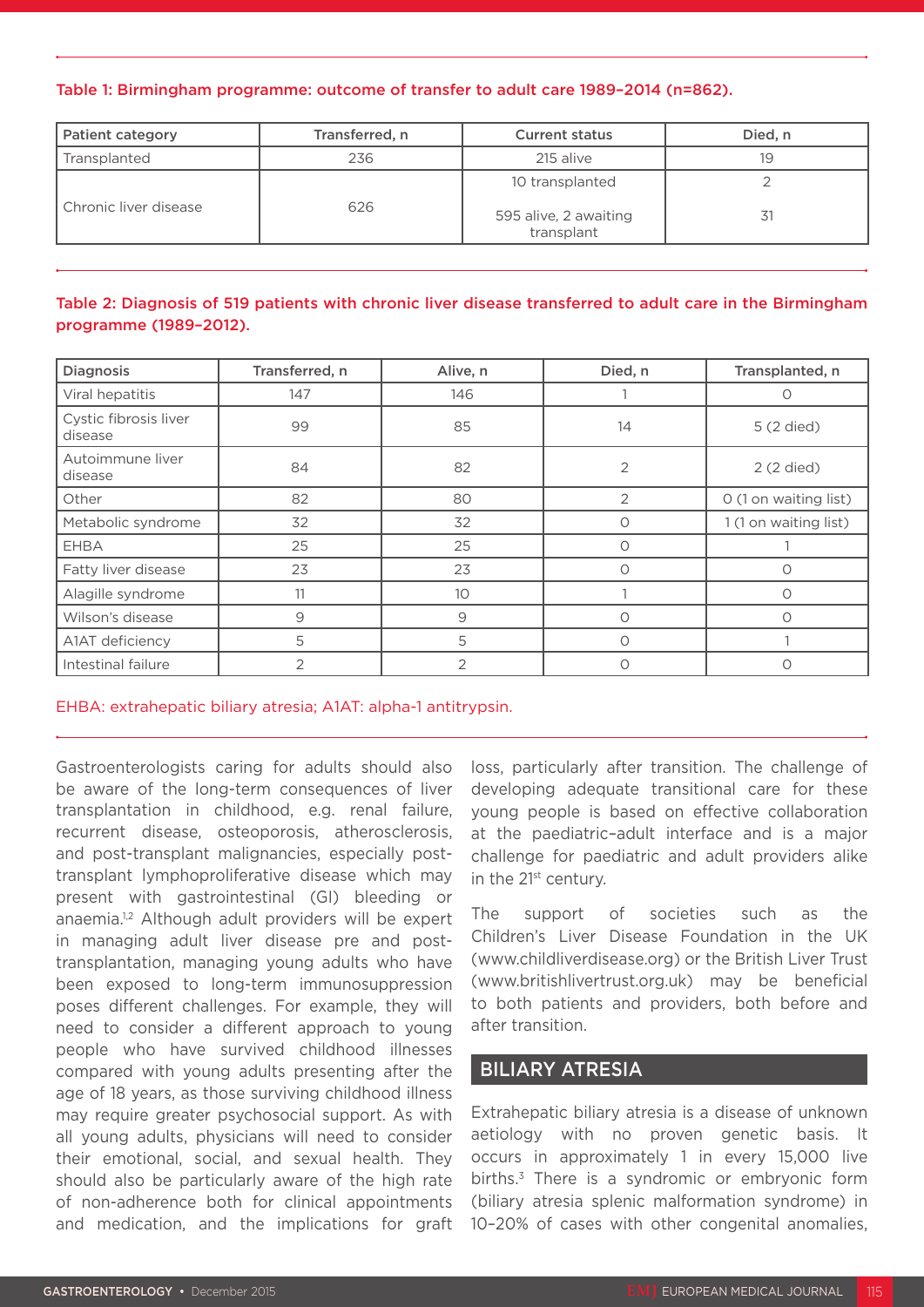#### Table 1: Birmingham programme: outcome of transfer to adult care 1989–2014 (n=862).

| <b>Patient category</b> | Transferred, n<br><b>Current status</b> |                                                        | Died. n |
|-------------------------|-----------------------------------------|--------------------------------------------------------|---------|
| Transplanted            | 236<br>215 alive                        |                                                        | 19      |
| Chronic liver disease   | 626                                     | 10 transplanted<br>595 alive, 2 awaiting<br>transplant |         |

# Table 2: Diagnosis of 519 patients with chronic liver disease transferred to adult care in the Birmingham programme (1989–2012).

| <b>Diagnosis</b>                 | Transferred, n | Alive, n | Died, n        | Transplanted, n       |
|----------------------------------|----------------|----------|----------------|-----------------------|
| Viral hepatitis                  | 147            | 146      |                | Ω                     |
| Cystic fibrosis liver<br>disease | 99             | 85       | 14             | 5 (2 died)            |
| Autoimmune liver<br>disease      | 84             | 82       | $\overline{2}$ | 2 (2 died)            |
| Other                            | 82             | 80       | 2              | O (1 on waiting list) |
| Metabolic syndrome               | 32             | 32       | 0              | 1 (1 on waiting list) |
| <b>EHBA</b>                      | 25             | 25       | $\bigcirc$     |                       |
| Fatty liver disease              | 23             | 23       | 0              | Ω                     |
| Alagille syndrome                | 11             | 10       |                | ∩                     |
| Wilson's disease                 | 9              | 9        | $\Omega$       | Ω                     |
| A1AT deficiency                  | 5              | 5        | $\bigcirc$     |                       |
| Intestinal failure               | 2              | 2        | 0              | O                     |

EHBA: extrahepatic biliary atresia; A1AT: alpha-1 antitrypsin.

Gastroenterologists caring for adults should also be aware of the long-term consequences of liver transplantation in childhood, e.g. renal failure, recurrent disease, osteoporosis, atherosclerosis, and post-transplant malignancies, especially posttransplant lymphoproliferative disease which may present with gastrointestinal (GI) bleeding or anaemia.<sup>1,2</sup> Although adult providers will be expert in managing adult liver disease pre and posttransplantation, managing young adults who have been exposed to long-term immunosuppression poses different challenges. For example, they will need to consider a different approach to young people who have survived childhood illnesses compared with young adults presenting after the age of 18 years, as those surviving childhood illness may require greater psychosocial support. As with all young adults, physicians will need to consider their emotional, social, and sexual health. They should also be particularly aware of the high rate of non-adherence both for clinical appointments and medication, and the implications for graft

loss, particularly after transition. The challenge of developing adequate transitional care for these young people is based on effective collaboration at the paediatric–adult interface and is a major challenge for paediatric and adult providers alike in the 21<sup>st</sup> century.

The support of societies such as the Children's Liver Disease Foundation in the UK (www.childliverdisease.org) or the British Liver Trust (www.britishlivertrust.org.uk) may be beneficial to both patients and providers, both before and after transition.

# BILIARY ATRESIA

Extrahepatic biliary atresia is a disease of unknown aetiology with no proven genetic basis. It occurs in approximately 1 in every 15,000 live births.<sup>3</sup> There is a syndromic or embryonic form (biliary atresia splenic malformation syndrome) in 10–20% of cases with other congenital anomalies,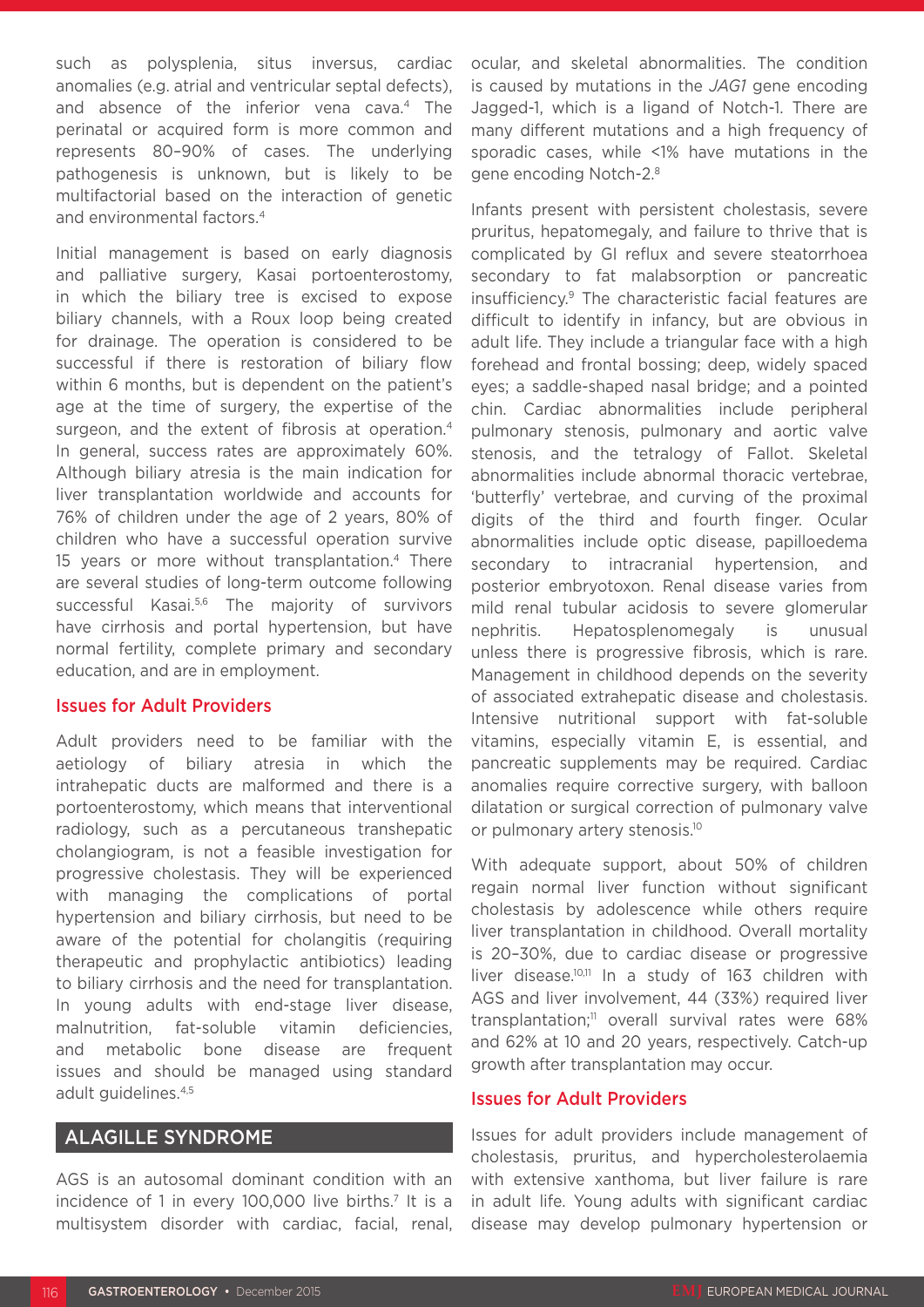such as polysplenia, situs inversus, cardiac anomalies (e.g. atrial and ventricular septal defects), and absence of the inferior vena cava.4 The perinatal or acquired form is more common and represents 80–90% of cases. The underlying pathogenesis is unknown, but is likely to be multifactorial based on the interaction of genetic and environmental factors.4

Initial management is based on early diagnosis and palliative surgery, Kasai portoenterostomy, in which the biliary tree is excised to expose biliary channels, with a Roux loop being created for drainage. The operation is considered to be successful if there is restoration of biliary flow within 6 months, but is dependent on the patient's age at the time of surgery, the expertise of the surgeon, and the extent of fibrosis at operation.<sup>4</sup> In general, success rates are approximately 60%. Although biliary atresia is the main indication for liver transplantation worldwide and accounts for 76% of children under the age of 2 years, 80% of children who have a successful operation survive 15 years or more without transplantation.4 There are several studies of long-term outcome following successful Kasai.<sup>5,6</sup> The majority of survivors have cirrhosis and portal hypertension, but have normal fertility, complete primary and secondary education, and are in employment.

#### Issues for Adult Providers

Adult providers need to be familiar with the aetiology of biliary atresia in which the intrahepatic ducts are malformed and there is a portoenterostomy, which means that interventional radiology, such as a percutaneous transhepatic cholangiogram, is not a feasible investigation for progressive cholestasis. They will be experienced with managing the complications of portal hypertension and biliary cirrhosis, but need to be aware of the potential for cholangitis (requiring therapeutic and prophylactic antibiotics) leading to biliary cirrhosis and the need for transplantation. In young adults with end-stage liver disease, malnutrition, fat-soluble vitamin deficiencies, and metabolic bone disease are frequent issues and should be managed using standard adult guidelines.4,5

# ALAGILLE SYNDROME

AGS is an autosomal dominant condition with an incidence of 1 in every 100,000 live births.<sup>7</sup> It is a multisystem disorder with cardiac, facial, renal, ocular, and skeletal abnormalities. The condition is caused by mutations in the *JAG1* gene encoding Jagged-1, which is a ligand of Notch-1. There are many different mutations and a high frequency of sporadic cases, while <1% have mutations in the gene encoding Notch-2.8

Infants present with persistent cholestasis, severe pruritus, hepatomegaly, and failure to thrive that is complicated by GI reflux and severe steatorrhoea secondary to fat malabsorption or pancreatic insufficiency.9 The characteristic facial features are difficult to identify in infancy, but are obvious in adult life. They include a triangular face with a high forehead and frontal bossing; deep, widely spaced eyes; a saddle-shaped nasal bridge; and a pointed chin. Cardiac abnormalities include peripheral pulmonary stenosis, pulmonary and aortic valve stenosis, and the tetralogy of Fallot. Skeletal abnormalities include abnormal thoracic vertebrae, 'butterfly' vertebrae, and curving of the proximal digits of the third and fourth finger. Ocular abnormalities include optic disease, papilloedema secondary to intracranial hypertension, and posterior embryotoxon. Renal disease varies from mild renal tubular acidosis to severe glomerular nephritis. Hepatosplenomegaly is unusual unless there is progressive fibrosis, which is rare. Management in childhood depends on the severity of associated extrahepatic disease and cholestasis. Intensive nutritional support with fat-soluble vitamins, especially vitamin E, is essential, and pancreatic supplements may be required. Cardiac anomalies require corrective surgery, with balloon dilatation or surgical correction of pulmonary valve or pulmonary artery stenosis.<sup>10</sup>

With adequate support, about 50% of children regain normal liver function without significant cholestasis by adolescence while others require liver transplantation in childhood. Overall mortality is 20–30%, due to cardiac disease or progressive liver disease.10,11 In a study of 163 children with AGS and liver involvement, 44 (33%) required liver transplantation;<sup>11</sup> overall survival rates were 68% and 62% at 10 and 20 years, respectively. Catch-up growth after transplantation may occur.

# Issues for Adult Providers

Issues for adult providers include management of cholestasis, pruritus, and hypercholesterolaemia with extensive xanthoma, but liver failure is rare in adult life. Young adults with significant cardiac disease may develop pulmonary hypertension or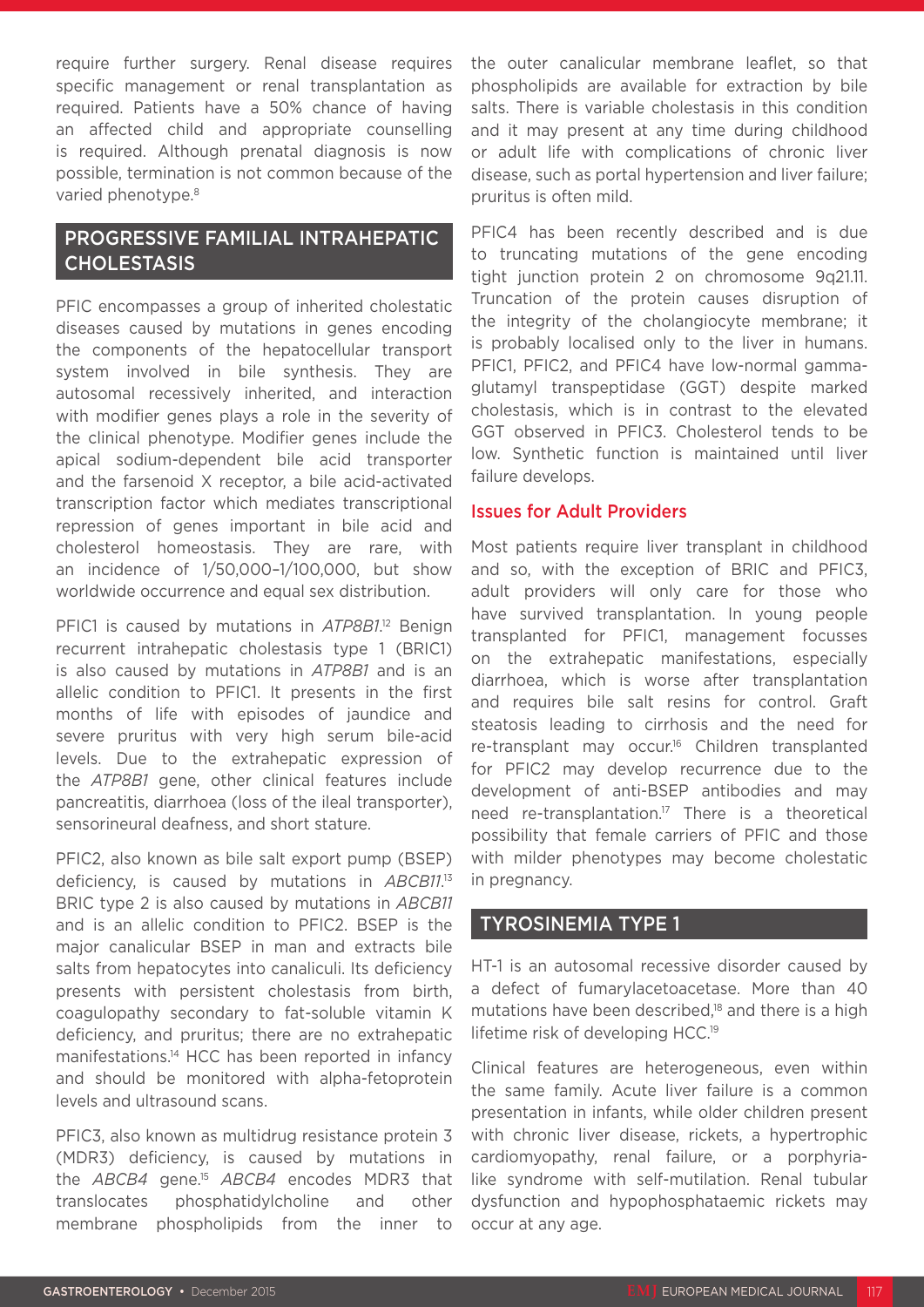require further surgery. Renal disease requires specific management or renal transplantation as required. Patients have a 50% chance of having an affected child and appropriate counselling is required. Although prenatal diagnosis is now possible, termination is not common because of the varied phenotype.<sup>8</sup>

# PROGRESSIVE FAMILIAL INTRAHEPATIC **CHOLESTASIS**

PFIC encompasses a group of inherited cholestatic diseases caused by mutations in genes encoding the components of the hepatocellular transport system involved in bile synthesis. They are autosomal recessively inherited, and interaction with modifier genes plays a role in the severity of the clinical phenotype. Modifier genes include the apical sodium-dependent bile acid transporter and the farsenoid X receptor, a bile acid-activated transcription factor which mediates transcriptional repression of genes important in bile acid and cholesterol homeostasis. They are rare, with an incidence of 1/50,000–1/100,000, but show worldwide occurrence and equal sex distribution.

PFIC1 is caused by mutations in *ATP8B1*. 12 Benign recurrent intrahepatic cholestasis type 1 (BRIC1) is also caused by mutations in *ATP8B1* and is an allelic condition to PFIC1. It presents in the first months of life with episodes of jaundice and severe pruritus with very high serum bile-acid levels. Due to the extrahepatic expression of the *ATP8B1* gene, other clinical features include pancreatitis, diarrhoea (loss of the ileal transporter), sensorineural deafness, and short stature.

PFIC2, also known as bile salt export pump (BSEP) deficiency, is caused by mutations in *ABCB11*. 13 BRIC type 2 is also caused by mutations in *ABCB11* and is an allelic condition to PFIC2. BSEP is the major canalicular BSEP in man and extracts bile salts from hepatocytes into canaliculi. Its deficiency presents with persistent cholestasis from birth, coagulopathy secondary to fat-soluble vitamin K deficiency, and pruritus; there are no extrahepatic manifestations.14 HCC has been reported in infancy and should be monitored with alpha-fetoprotein levels and ultrasound scans.

PFIC3, also known as multidrug resistance protein 3 (MDR3) deficiency, is caused by mutations in the *ABCB4* gene.15 *ABCB4* encodes MDR3 that translocates phosphatidylcholine and other membrane phospholipids from the inner to

the outer canalicular membrane leaflet, so that phospholipids are available for extraction by bile salts. There is variable cholestasis in this condition and it may present at any time during childhood or adult life with complications of chronic liver disease, such as portal hypertension and liver failure; pruritus is often mild.

PFIC4 has been recently described and is due to truncating mutations of the gene encoding tight junction protein 2 on chromosome 9q21.11. Truncation of the protein causes disruption of the integrity of the cholangiocyte membrane; it is probably localised only to the liver in humans. PFIC1, PFIC2, and PFIC4 have low-normal gammaglutamyl transpeptidase (GGT) despite marked cholestasis, which is in contrast to the elevated GGT observed in PFIC3. Cholesterol tends to be low. Synthetic function is maintained until liver failure develops.

# Issues for Adult Providers

Most patients require liver transplant in childhood and so, with the exception of BRIC and PFIC3, adult providers will only care for those who have survived transplantation. In young people transplanted for PFIC1, management focusses on the extrahepatic manifestations, especially diarrhoea, which is worse after transplantation and requires bile salt resins for control. Graft steatosis leading to cirrhosis and the need for re-transplant may occur.<sup>16</sup> Children transplanted for PFIC2 may develop recurrence due to the development of anti-BSEP antibodies and may need re-transplantation.<sup>17</sup> There is a theoretical possibility that female carriers of PFIC and those with milder phenotypes may become cholestatic in pregnancy.

# TYROSINEMIA TYPE 1

HT-1 is an autosomal recessive disorder caused by a defect of fumarylacetoacetase. More than 40 mutations have been described, $18$  and there is a high lifetime risk of developing HCC.19

Clinical features are heterogeneous, even within the same family. Acute liver failure is a common presentation in infants, while older children present with chronic liver disease, rickets, a hypertrophic cardiomyopathy, renal failure, or a porphyrialike syndrome with self-mutilation. Renal tubular dysfunction and hypophosphataemic rickets may occur at any age.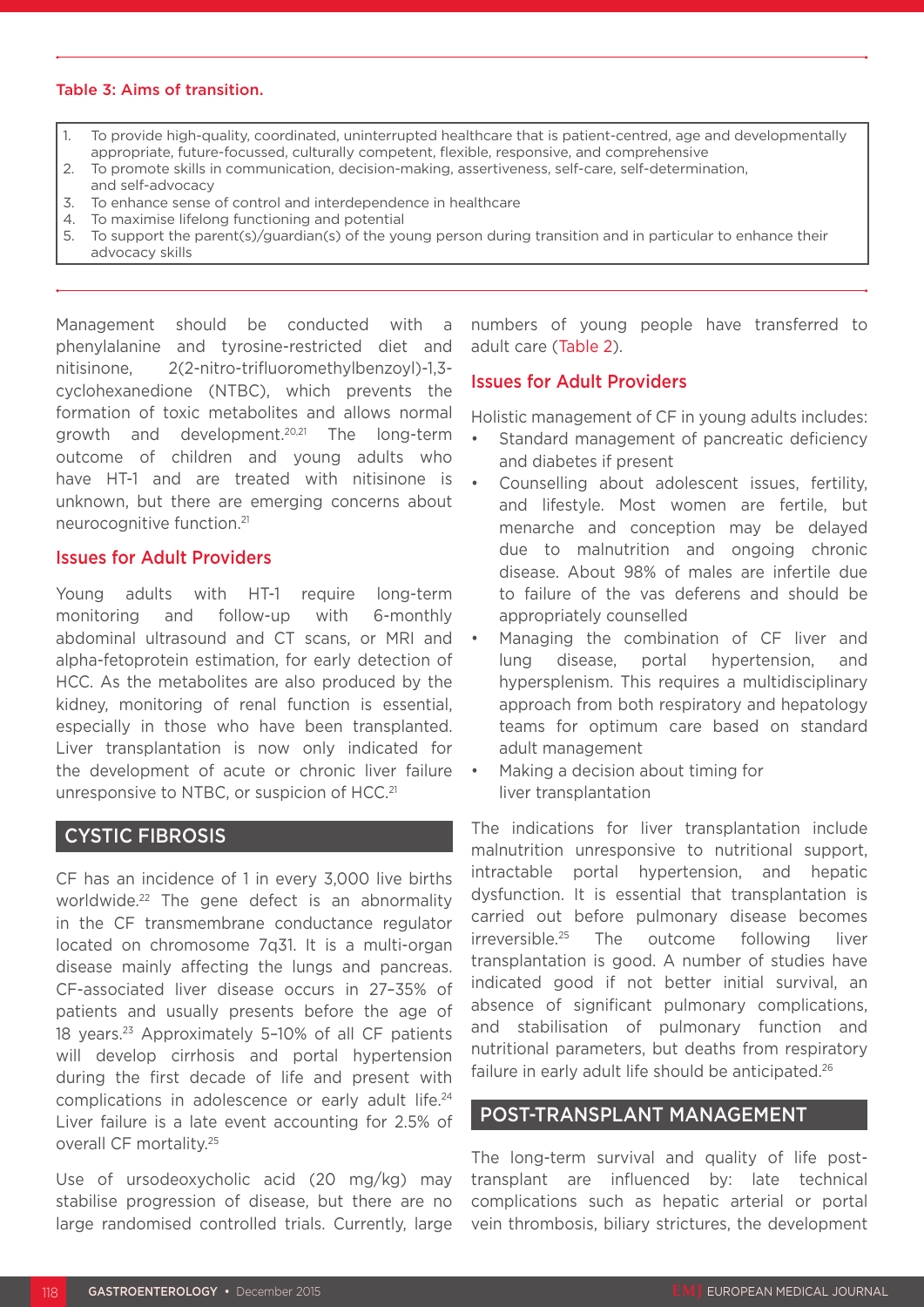#### Table 3: Aims of transition.

- 1. To provide high-quality, coordinated, uninterrupted healthcare that is patient-centred, age and developmentally appropriate, future-focussed, culturally competent, flexible, responsive, and comprehensive
- 2. To promote skills in communication, decision-making, assertiveness, self-care, self-determination,
- and self-advocacy
- 3. To enhance sense of control and interdependence in healthcare
- 4. To maximise lifelong functioning and potential
- 5. To support the parent(s)/guardian(s) of the young person during transition and in particular to enhance their advocacy skills

Management should be conducted with a phenylalanine and tyrosine-restricted diet and nitisinone, 2(2-nitro-trifluoromethylbenzoyl)-1,3 cyclohexanedione (NTBC), which prevents the formation of toxic metabolites and allows normal growth and development.20,21 The long-term outcome of children and young adults who have HT-1 and are treated with nitisinone is unknown, but there are emerging concerns about neurocognitive function.21

#### Issues for Adult Providers

Young adults with HT-1 require long-term monitoring and follow-up with 6-monthly abdominal ultrasound and CT scans, or MRI and alpha-fetoprotein estimation, for early detection of HCC. As the metabolites are also produced by the kidney, monitoring of renal function is essential, especially in those who have been transplanted. Liver transplantation is now only indicated for the development of acute or chronic liver failure unresponsive to NTBC, or suspicion of HCC.<sup>21</sup>

# CYSTIC FIBROSIS

CF has an incidence of 1 in every 3,000 live births worldwide.<sup>22</sup> The gene defect is an abnormality in the CF transmembrane conductance regulator located on chromosome 7q31. It is a multi-organ disease mainly affecting the lungs and pancreas. CF-associated liver disease occurs in 27–35% of patients and usually presents before the age of 18 years.23 Approximately 5–10% of all CF patients will develop cirrhosis and portal hypertension during the first decade of life and present with complications in adolescence or early adult life.<sup>24</sup> Liver failure is a late event accounting for 2.5% of overall CF mortality.25

Use of ursodeoxycholic acid (20 mg/kg) may stabilise progression of disease, but there are no large randomised controlled trials. Currently, large

numbers of young people have transferred to adult care (Table 2).

### Issues for Adult Providers

Holistic management of CF in young adults includes:

- Standard management of pancreatic deficiency and diabetes if present
- Counselling about adolescent issues, fertility, and lifestyle. Most women are fertile, but menarche and conception may be delayed due to malnutrition and ongoing chronic disease. About 98% of males are infertile due to failure of the vas deferens and should be appropriately counselled
- Managing the combination of CF liver and lung disease, portal hypertension, and hypersplenism. This requires a multidisciplinary approach from both respiratory and hepatology teams for optimum care based on standard adult management
- Making a decision about timing for liver transplantation

The indications for liver transplantation include malnutrition unresponsive to nutritional support, intractable portal hypertension, and hepatic dysfunction. It is essential that transplantation is carried out before pulmonary disease becomes irreversible.25 The outcome following liver transplantation is good. A number of studies have indicated good if not better initial survival, an absence of significant pulmonary complications, and stabilisation of pulmonary function and nutritional parameters, but deaths from respiratory failure in early adult life should be anticipated.<sup>26</sup>

#### POST-TRANSPLANT MANAGEMENT

The long-term survival and quality of life posttransplant are influenced by: late technical complications such as hepatic arterial or portal vein thrombosis, biliary strictures, the development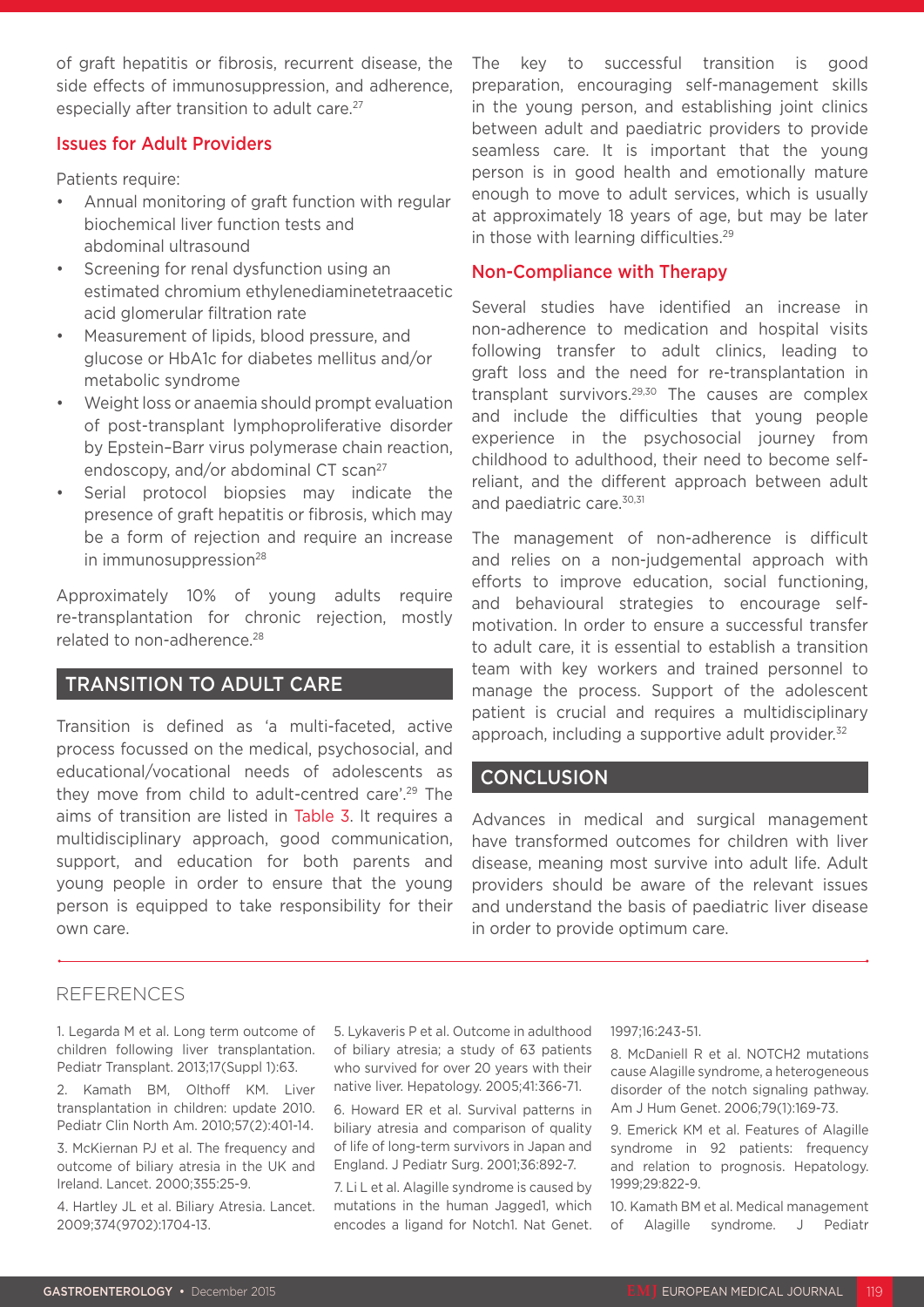of graft hepatitis or fibrosis, recurrent disease, the side effects of immunosuppression, and adherence, especially after transition to adult care.<sup>27</sup>

### Issues for Adult Providers

Patients require:

- Annual monitoring of graft function with regular biochemical liver function tests and abdominal ultrasound
- Screening for renal dysfunction using an estimated chromium ethylenediaminetetraacetic acid glomerular filtration rate
- Measurement of lipids, blood pressure, and glucose or HbA1c for diabetes mellitus and/or metabolic syndrome
- Weight loss or anaemia should prompt evaluation of post-transplant lymphoproliferative disorder by Epstein–Barr virus polymerase chain reaction, endoscopy, and/or abdominal CT scan<sup>27</sup>
- Serial protocol biopsies may indicate the presence of graft hepatitis or fibrosis, which may be a form of rejection and require an increase in immunosuppression<sup>28</sup>

Approximately 10% of young adults require re-transplantation for chronic rejection, mostly related to non-adherence.28

# TRANSITION TO ADULT CARE

Transition is defined as 'a multi-faceted, active process focussed on the medical, psychosocial, and educational/vocational needs of adolescents as they move from child to adult-centred care'.29 The aims of transition are listed in Table 3. It requires a multidisciplinary approach, good communication, support, and education for both parents and young people in order to ensure that the young person is equipped to take responsibility for their own care.

The key to successful transition is good preparation, encouraging self-management skills in the young person, and establishing joint clinics between adult and paediatric providers to provide seamless care. It is important that the young person is in good health and emotionally mature enough to move to adult services, which is usually at approximately 18 years of age, but may be later in those with learning difficulties.<sup>29</sup>

# Non-Compliance with Therapy

Several studies have identified an increase in non-adherence to medication and hospital visits following transfer to adult clinics, leading to graft loss and the need for re-transplantation in transplant survivors.<sup>29,30</sup> The causes are complex and include the difficulties that young people experience in the psychosocial journey from childhood to adulthood, their need to become selfreliant, and the different approach between adult and paediatric care.<sup>30,31</sup>

The management of non-adherence is difficult and relies on a non-judgemental approach with efforts to improve education, social functioning, and behavioural strategies to encourage selfmotivation. In order to ensure a successful transfer to adult care, it is essential to establish a transition team with key workers and trained personnel to manage the process. Support of the adolescent patient is crucial and requires a multidisciplinary approach, including a supportive adult provider.<sup>32</sup>

# **CONCLUSION**

Advances in medical and surgical management have transformed outcomes for children with liver disease, meaning most survive into adult life. Adult providers should be aware of the relevant issues and understand the basis of paediatric liver disease in order to provide optimum care.

# REFERENCES

1. Legarda M et al. Long term outcome of children following liver transplantation. Pediatr Transplant. 2013;17(Suppl 1):63.

2. Kamath BM, Olthoff KM. Liver transplantation in children: update 2010. Pediatr Clin North Am. 2010;57(2):401-14.

3. McKiernan PJ et al. The frequency and outcome of biliary atresia in the UK and Ireland. Lancet. 2000;355:25-9.

4. Hartley JL et al. Biliary Atresia. Lancet. 2009;374(9702):1704-13.

5. Lykaveris P et al. Outcome in adulthood of biliary atresia; a study of 63 patients who survived for over 20 years with their native liver. Hepatology. 2005;41:366-71.

6. Howard ER et al. Survival patterns in biliary atresia and comparison of quality of life of long-term survivors in Japan and England. J Pediatr Surg. 2001;36:892-7.

7. Li L et al. Alagille syndrome is caused by mutations in the human Jagged1, which encodes a ligand for Notch1. Nat Genet.

#### 1997;16:243-51.

8. McDaniell R et al. NOTCH2 mutations cause Alagille syndrome, a heterogeneous disorder of the notch signaling pathway. Am J Hum Genet. 2006;79(1):169-73.

9. Emerick KM et al. Features of Alagille syndrome in 92 patients: frequency and relation to prognosis. Hepatology. 1999;29:822-9.

10. Kamath BM et al. Medical management of Alagille syndrome. J Pediatr